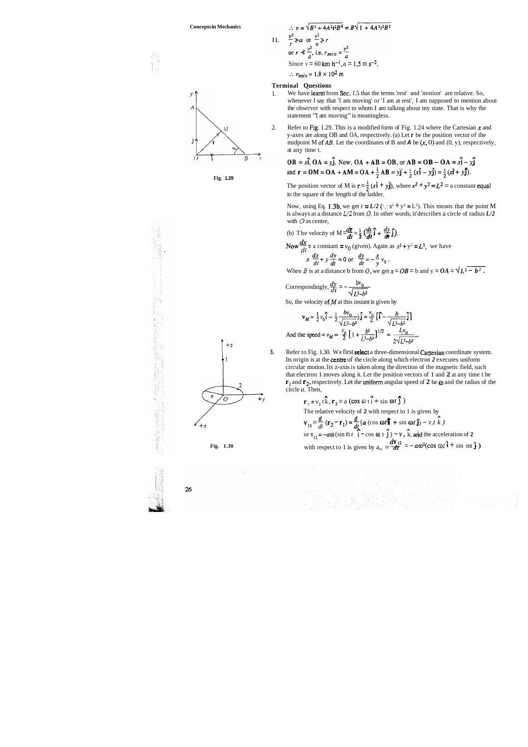$$
\therefore v = \sqrt{B^2 + 4A^2t^2B^4} = B\sqrt{1 + 4A^2t^2B^2}
$$
  
1.  $\frac{v^2}{r} \nless a$  or  $\frac{v^2}{a} \nless r$   
or  $r \nless \frac{v^2}{a}$ , i.e.  $r_{min} = \frac{v^2}{a}$   
Since  $v = 60 \text{ km h}^{-1}$ ,  $a = 1.5 \text{ m s}^{-2}$ ,  
 $\therefore r_{min} = 1.8 \times 10^2 \text{ m}$ 

### **Terminal Questions**

 $\mathbf{1}$ 

- 1. We have learnt from Sec. 1.5 that the terms 'rest' and 'motion' are relative. So, whenever I say that 'I am moving' or 'I am at rest', I am supposed to mention about the observer with respect to whom I am talking about my state. That is why the statement "I am moving" is meaningless.
- 2. Refer to Fig. 1.29. This is a modified form of Fig. 1.24 where the Cartesian  $x$  and y-axes are along OB and OA, respectively. (a) Let **r** be the position vector of the midpoint M of  $AB$ . Let the coordinates of B and  $A$  be  $(x, 0)$  and  $(0, y)$ , respectively, at any time t.

The position vector of M is  $\mathbf{r} = \frac{1}{2} (x \mathbf{i} + y \mathbf{j})$ , where  $x^2 + y^2 = L^2 =$  a constant equal to the square of the length of the ladder.

Now, using Eq. 1.3b, we get  $r = L/2$  ( $x^2 + y^2 = L^2$ ). This means that the point M is always at a distance **L/2** from 0. In other words, it'describes a circle of radius *L/2* 

$$
OB = x\hat{i}, OA = y\hat{j}.
$$
 Now,  $OA + AB = OB$ , or  $AB = OB - OA = x\hat{i} - y\hat{j}$   
and  $\mathbf{r} = OM = OA + AM = OA + \frac{1}{2}AB = y\hat{j} + \frac{1}{2}(x\hat{i} - y\hat{j}) = \frac{1}{2}(x\hat{i} + y\hat{j}).$ 



**Fig. 1.29** 

**3.** Refer to Fig. 1.30. We first **select** a three-dimensional **Cartesian** coordinate system. Its origin is at the centre of the circle along which electron *2* executes uniform circular motion. Its z-axis is taken along the direction of the magnetic field, such that electron 1 moves along it. Let the position vectors of 1 and **2** at any time t be **r**<sub>1</sub> and **r**<sub>2</sub>, respectively. Let the uniform angular speed of 2 be  $\omega$  and the radius of the circle *a.* Then,

with O as centre,  
(b) The velocity of 
$$
M = \frac{d\mathbf{r}}{dt} = \frac{1}{2} \left( \frac{dx}{dt} \mathbf{\hat{i}} + \frac{dy}{dt} \mathbf{\hat{j}} \right)
$$
.

Now  $\frac{dx}{dt}$  = a constant =  $v_0$  (given). Again as  $x^2 + y^2 = L^2$ , we have

$$
x \frac{dx}{dt} + y \frac{dy}{dt} = 0 \text{ or } \frac{dy}{dt} = -\frac{x}{y} v_0.
$$

When *B* is at a distance b from *O*, we get  $x = OB = b$  and  $y = OA = \gamma L^2 - b^2$ .

Correspondingly, 
$$
\frac{dy}{dt} = -\frac{bv_0}{\sqrt{L^2-b^2}}
$$

So, the velocity of  $M$  at this instant is given by

$$
\mathbf{v}_M = \frac{1}{2} v_0 \hat{\mathbf{i}} - \frac{1}{2} \frac{bv_0}{\sqrt{L^2 - b^2}} \hat{\mathbf{j}} = \frac{v_0}{2} \left[ \hat{\mathbf{i}} - \frac{b}{\sqrt{L^2 - b^2}} \hat{\mathbf{j}} \right]
$$
  
And the speed =  $v_M = \frac{v_0}{2} \left[ 1 + \frac{b^2}{L^2 - b^2} \right]^{1/2} = \frac{Lv_0}{2\sqrt{L^2 - b^2}}$ 



The relative velocity of 2 with respect to 1 is given by  
\n
$$
\mathbf{v}_{12} = \frac{d}{dt} (\mathbf{r}_2 - \mathbf{r}_1) = \frac{d}{dt} (a (\cos \omega t \hat{\mathbf{i}} + \sin \omega t \hat{\mathbf{j}}) - v, t \hat{k})
$$
\nor 
$$
\mathbf{v}_{12} = -a\omega (\sin \omega t \hat{\mathbf{i}} - \cos \omega t \hat{\mathbf{j}}) - v, \hat{k}, \text{ and the acceleration of 2}
$$
\nFig. 1.30 with respect to 1 is given by  $a_{11} = \frac{dv_{12}}{dt} = -a\omega^2(\cos \omega t \hat{\mathbf{i}} + \sin \omega t \hat{\mathbf{j}})$ 

收回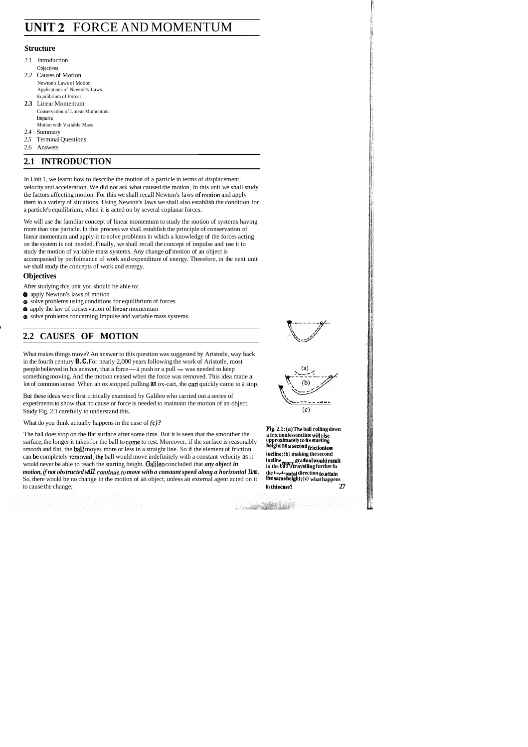# **UNIT 2** FORCE AND MOMENTUM

## **Structure**

- 2.1 Introduction **Objectives**
- 2.2 Causes of Motion Newton's Laws of Motion Applications of Newton's Laws Equilibrium of Forces
- **2.3** Linear Momentum Conservation of Linear Momentum Impulsc Motion with Variable Mass
- 2.4 Summary
- *2.5* Terminal Questions
- 2.6 Answers

## **2.1 INTRODUCTION**

In Unit 1, we learnt how to describe the motion of a particle in terms of displacement, velocity and acceleration. We did not ask what caused the motion, In this unit we shall study the factors affecting motion. For this we shall recall Newton's laws of motion and apply them to a variety of situations. Using Newton's laws we shall also establish the condition for a particle's equilibrium, when it is acted on by several coplanar forces.

We will use the familiar concept of linear momentum to study the motion of systems having more than one particle. In this process we shall establish the principle of conservation of linear momentum and apply it to solve problems in which a knowledge of the forces acting on the system is not needed. Finally, we shall recall the concept of impulse and use it to study the motion of variable mass systems. Any change of motion of an object is accompanied by perfoimance of work and expenditure of energy. Therefore, in the next unit we shall study the concepts of work and energy.

What makes things move? An answer to this question was suggested by Aristotle, way back in the fourth century  $\mathbf{B} \cdot \mathbf{C} \cdot$  For nearly 2,000 people believed in his answer, that a force a push or a pull his qu<br>0 yea<br>— a <sub>1</sub><br>d whe years following the work ggested by Aristotle, was<br>ne work of Aristotle, mo<br>— was needed to keep of Aristotle, After studying this unit you should be able to:<br> **e** solve problems laws of motion<br> **e** solve problems suring conditions for equilibrium of forces<br> **e** solve problems concerning impulse and variable mass systems.<br> **2.2 CAU** lot of common sense. When an ox stopped pulling **an** ox-cart, the cart quickly came to a stop.

But these ideas were first critically examined by Galileo who carried out a series of experiments to show that no cause or force is needed to maintain the motion of an object. Study Fig. 2.1 carefully to understand this. (c)

## **Objectives**

- After studying this unit you should be able to:
- @ apply Newton's laws of motion
- @ solve problems using conditions for equilibrium of forces
- @ apply the law of conservation of linear momentum
- @ solve problems concerning impulse and variable mass systems.

## **2.2 CAUSES OF MOTION**



## What do you think actually happens in the case of *(c)?*

an Salaman (1995) a tha aigsin an t-tha ann an<br>Saol an t-tha an t-tha an t-tha an t-tha an t-tha an t-tha an t-tha an t-tha an t-tha an t-tha an t-tha an t-<br>T-tha an t-tha an t-tha an t-tha an t-tha an t-tha an t-tha an t-

The ball does stop on the flat surface after some time. But it is seen that the smoother the **a frictionless incline will rise** surface. the longer it takes for the ball to come to rest. Moreover, if the surface is reasona surface, the longer it takes for the ball to come to rest. Moreover, if the surface is reasonably **approximately to its starting**<br>approximately to **its starting** and the hall moves more or less in a straight line. So if th smooth and flat, the **ball** moves more or less in a straight line. So if the element of friction **height On a second frictionless** can be completely removed, the ball would move indefinitely with a constant velocity as it<br>would never be able to reach the starting height. Galileo concluded that *any object in* in the ball strayelling further in *motion, if not obstructed will continue to move with a constant speed along a horizontal line. The harbontal direction to attain So, there would be no change in the motion of an object, unless an external agent acted on i* So, there would be no change in the motion of an object, unless an external agent acted on it to cause the change, **27 In this case? In this case? 27** 



**Fig. 2.1: (a) The ball rolling down**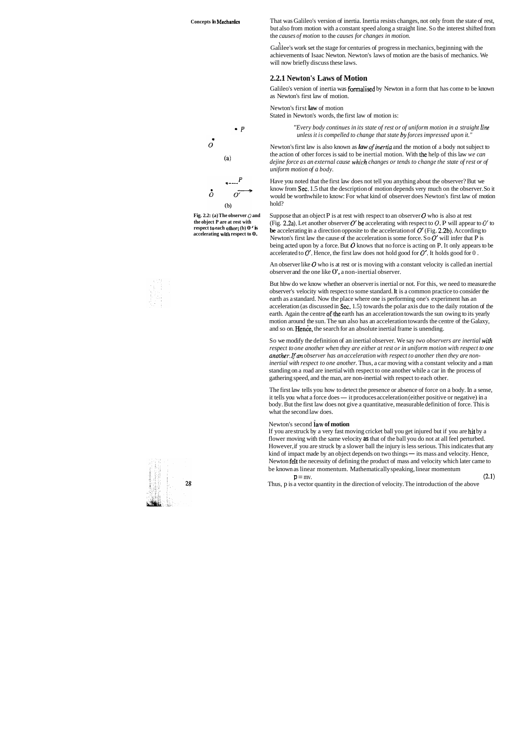**Fig. 2.2: (a) The observer** 0 **and the object P are at rest with respect to each other; (b) 0** ' **is accelerating with respect to 0.** 





That was Galileo's version of inertia. Inertia resists changes, not only from the state of rest, but also from motion with a constant speed along a straight line. So the interest shifted from the *causes of motion* to the *causes for changes in motion.* 

Galilee's work set the stage for centuries of progress in mechanics, beginning with the achievements of Isaac Newton. Newton's laws of motion are the basis of mechanics. We will now briefly discuss these laws.

## **2.2.1 Newton's Laws of Motion**

Newton's first law is also known as *law of inertia* and the motion of a body not subject to the action of other forces is said to be inertial motion. With the help of this law *we can dejine force as an external cause which changes or tends to change the state of rest or of uniform motion of a body.* 

Galileo's version of inertia was formalised by Newton in a form that has come to be known as Newton's first law of motion.

Newton's first **law** of motion Stated in Newton's words, the first law of motion is:

> *"Every body continues in its state of rest or of uniform motion in a straight line unless it is compelled to change that state by forces impressed upon it."*

An observer like  $\bm{O}$  who is at rest or is moving with a constant velocity is called an inertial observer and the one like 0', a non-inertial observer.

But hbw do we know whether an observer is inertial or not. For this, we need to measure the observer's velocity with respect to some standard. It is a common practice to consider the earth as a standard. Now the place where one is performing one's experiment has an acceleration (as discussed in Sec. 1.5) towards the polar axis due to the daily rotation of the earth. Again the centre of the earth has an acceleration towards the sun owing to its yearly motion around the sun. The sun also has an acceleration towards the centre of the Galaxy, and so on. **Hence**, the search for an absolute inertial frame is unending.

Have you noted that the first law does not tell you anything about the observer? But we know from Sec. 1.5 that the description of motion depends very much on the observer. So it would be worthwhile to know: For what kind of observer does Newton's first law of motion hold?

Suppose that an object P is at rest with respect to an observer  $O$  who is also at rest (Fig. 2.2a). Let another observer  $O'$  be accelerating with respect to  $O$ . P will appear to  $O'$  to be accelerating in a direction opposite to the acceleration of  $O'$  (Fig. 2.2b). According to Newton's first law the cause of the acceleration is some force. So  $O'$  will infer that P is being acted upon by a force. But  $O$  knows that no force is acting on P. It only appears to be accelerated to  $O'$ . Hence, the first law does not hold good for  $O'$ . It holds good for  $O$ .

If you are struck by a very fast moving cricket ball you get injured but if you are hit by a flower moving with the same velocity **as** that of the ball you do not at all feel perturbed. However, if you are struck by a slower ball the injury is less serious. This indicates that any kind of impact made by an object depends on two things - its mass and velocity. Hence, Newton felt the necessity of defining the product of mass and velocity which later came to be known as linear momentum. Mathematically speaking, linear momentum  $p = mv.$  (2.1)

So we modify the definition of an inertial observer. We say *two observers are inertial with respect to one another when they are either at rest or in uniform motion with respect to one another.. Ifan observer has an acceleration with respect to another then they are noninertial with respect to one another.* Thus, a car moving with a constant velocity and a man standing on a road are inertial with respect to one another while a car in the process of gathering speed, and the man, are non-inertial with respect to each other.

The first law tells you how to detect the presence or absence of force on a body. In a sense, The first law tells you how to detect the presence or absence of force on a body. In a sens<br>it tells you what a force does — it produces acceleration (either positive or negative) in a<br>hody. But the first law does not give body. But the first law does not give a quantitative, measurable definition of force. This is what the second law does.

#### Newton's second **iaw of motion**

Thus, p is a vector quantity in the direction of velocity. The introduction of the above

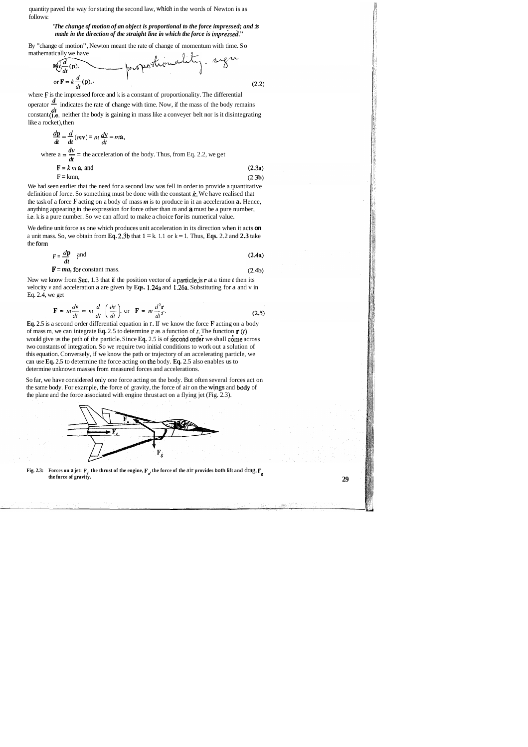quantity paved the way for stating the second law, which in the words of Newton is as follows:

By "change of motion", Newton meant the rate of change of momentum with time. So mathematically we have  $0.1$ 

#### *'The change of motion of an object is proportional to the force impressed; and* **is**  *made in the direction of the straight line in which the force is impressed."*

$$
F(\sigma) \frac{d}{dt}(\mathbf{p}), \qquad \qquad \text{probability} \qquad 0.22
$$
\n
$$
\sigma \mathbf{F} = k \frac{d}{dt}(\mathbf{p}), \qquad (2.2)
$$

where  $\mathbf F$  is the impressed force and k is a constant of proportionality. The differential operator  $\frac{d}{ }$  indicates the rate of change with time. Now, if the mass of the body remains constant (i.e. neither the body is gaining in mass like a conveyer belt nor is it disintegrating

like a rocket), then  
\n
$$
\frac{d\mathbf{p}}{dt} = \frac{d}{dt}(m\mathbf{v}) = m \frac{d\mathbf{v}}{dt} = m\mathbf{a},
$$
\nwhere  $\mathbf{a} = \frac{d\mathbf{v}}{dt} = \mathbf{a}$  acceleration of the body. Thus, from Eq. 2.2, we get  
\n $\mathbf{F} = k \, m \, \mathbf{a}$ , and  
\n $\mathbf{F} = \mathbf{k} \, m \, \mathbf{a}$ , and  
\n $\mathbf{F} = \mathbf{k} \, m \, \mathbf{a}$ ,

We had seen earlier that the need for a second law was fell in order to provide a quantitative definition of force. So something must be done with the constant  $k$ . We have realised that the task of a force **F** acting on a body of mass *m* is to produce in it an acceleration **a.** Hence, anything appearing in the expression for force other than m and **a** must be a pure number, i.e, k is a pure number. So we can afford to make a choice for its numerical value.

We define unit force as one which produces unit acceleration in its direction when it acts **on**  a unit mass. So, we obtain from **Eq. 2.3b** that  $1 = k$ . 1.1 or  $k = 1$ . Thus, **Eqs.** 2.2 and **2.3** take the form



**Fig. 2.3:** Forces on a jet:  $\mathbf{F}_e$ , the thrust of the engine,  $\mathbf{F}_a$ , the force of the air provides both lift and drag,  $\mathbf{F}_g$  the force of gravity. **the force of gravity. 29** 

 $(2.4b)$ 

$$
F = \frac{d\mathbf{p}}{dt} \quad \text{and} \tag{2.4a}
$$

$$
F = ma
$$
, for constant mass.

Now we know from Sec. 1.3 that if the position vector of a particlejs **r** at a time *t* then its velocity v and acceleration a are given by **Eqs.** 1.24a and 1.26a. Substituting for a and v in Eq. 2.4, we get

$$
\mathbf{F} = m \frac{d\mathbf{v}}{dt} = m \frac{d}{dt} \left( \frac{d\mathbf{r}}{dt} \right), \text{ or } \mathbf{F} = m \frac{d^2 \mathbf{r}}{dt^2}.
$$
 (2.5)

**Eq.** 2.5 is a second order differential equation in r. If we know the force **F** acting on a body of mass m, we can integrate **Eq.** 2.5 to determine **r** as a function of *t.* The function **r** *(t)*  would give us the path of the particle. Since Eq. 2.5 is of second order we shall come across two constants of integration. So we require two initial conditions to work out a solution of this equation. Conversely, if we know the path or trajectory of an accelerating particle, we can use **Eq.** 2.5 to determine the force acting on the body. **Eq.** 2.5 also enables us to determine unknown masses from measured forces and accelerations.

So far, we have considered only one force acting on the body. But often several forces act on the same body. For example, the force of gravity, the force of air on the wings and body of the plane and the force associated with engine thrust act on a flying jet (Fig. 2.3).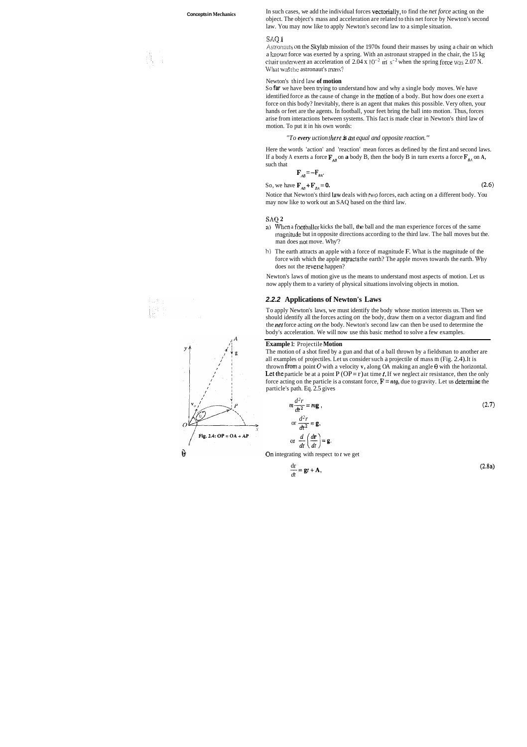**Concepts in Mechanics** In such cases, we add the individual forces **vectorially**, to find the *net force* acting on the object. The object's mass and acceleration are related to this net force by Newton's second law. You may now like to apply Newton's second law to a simple situation.

#### **sa~ <sup>n</sup>**

Astronauts on the Skylab mission of the 1970s found their masses by using a chair on which a known force was exerted by a spring. With an astronaut strapped in the chair, the 15 kg chair underwent an acceleration of 2.04 x  $10^{-2}$  m s<sup>-2</sup> when the spring force was 2.07 N. What was the astronaut's mass?

#### Newton's third law **of motion**

Here the words 'action' and 'reaction' mean forces as defined by the first and second laws. If a body A exerts a force  $\mathbf{F}_{AB}$  on **a** body B, then the body B in turn exerts a force  $\mathbf{F}_{BA}$  on A, such that

$$
\mathbf{F}_{AB} = -\mathbf{F}
$$

 $BA$ <sup> $+$ </sup>

So, we have  $F_{AB} + F_{BA} = 0$ . (2.6)

So **far** we have been trying to understand how and why a single body moves. We have identified force as the cause of change in the motion of a body. But how does one exert a force on this body? Inevitably, there is an agent that makes this possible. Very often, your hands or feet are the agents. In football, your feet bring the ball into motion. Thus, forces arise from interactions between systems. This fact is made clear in Newton's third law of motion. To put it in his own words:

#### *"To every uction there* **is m~** *equal and opposite reaction."*

Notice that Newton's third Law deals with fwo forces, each acting on a different body. You may now like to work out an SAQ based on the third law.

#### **SAQ 2**

- a) When a footballer kicks the ball, the ball and the man experience forces of the same magnitude but in opposite directions according to the third law. The ball moves but the. man does not move. Why'?
- h) The earth attracts an apple with a force of magnitude F. What is the magnitude of the force with which the apple attracts the earth? The apple moves towards the earth. Whv does not the reverse happen?

Newton's laws of motion give us the means to understand most aspects of motion. Let us now apply them to a variety of physical situations involving objects in motion.

#### **2.2.2 Applications of Newton's Laws**

To apply Newton's laws, we must identify the body whose motion interests us. Then we should identify all the forces acting *on* the body, draw them on a vector diagram and find the *net* force acting *on* the body. Newton's second law can then be used to determine the body's acceleration. We will now use this basic method to solve a few examples.

#### **Example** 1: Projectile **Motion**

The motion of a shot fired by a gun and that of a ball thrown by a fieldsman to another are all examples of projectiles. Let us consider such a projectile of mass m (Fig. 2.4). It is thrown from a point  $O$  with a velocity **v**, along OA making an angle  $\theta$  with the horizontal. Let the particle be at a point  $P(OP = r)$  at time *t*. If we neglect air resistance, then the only force acting on the particle is a constant force,  $\mathbf{F} = n t \mathbf{g}$ , due to gravity. Let us determine the particle's path. Eq. 2.5 gives

$$
m\frac{d^2r}{dt^2} = m\mathbf{g},
$$
  
or 
$$
\frac{d^2r}{dt^2} = \mathbf{g},
$$
  
or 
$$
\frac{d}{dt}\left(\frac{d\mathbf{r}}{dt}\right) = \mathbf{g}.
$$
 (2.7)



$$
\frac{\mathrm{d} \mathbf{r}}{\mathrm{d} t} = \mathbf{g} t + \mathbf{A},\tag{2.8a}
$$

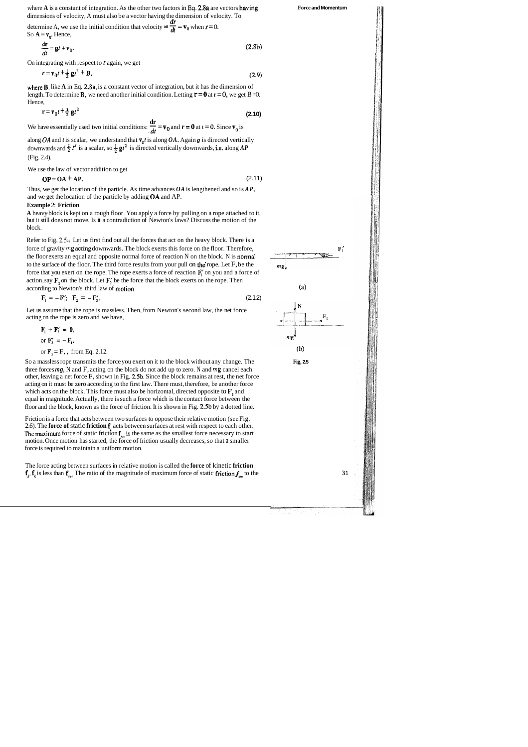where **A** is a constant of integration. As the other two factors in **Eq.** 2.8a are vectors having dimensions of velocity, A must also be a vector having the dimension of velocity. To

dimensions of velocity, A must also be a vector having the dimension of velocitions of velocity, A must also be a vector having the dimension of velocitemine A, we use the initial condition that velocity  $= \frac{dr}{dt} = v_0$  wh

$$
\frac{d\mathbf{r}}{dt} = \mathbf{g}t + \mathbf{v}_0. \tag{2.8b}
$$

where **B**, like A in Eq. 2.8a, is a constant vector of integration, but it has the dimension of length. To determine **B**, we need another initial condition. Letting  $\mathbf{r} = \mathbf{0}$  at  $t = 0$ , we get B =0. Hence,

**dr**   $\mathbf{r} = \mathbf{v}_0 t + \frac{1}{2} \mathbf{g} t^2$ <br>We have essentially used two initial conditions:  $\frac{d\mathbf{r}}{dt} = \mathbf{v}_0$  and  $\mathbf{r} = \mathbf{0}$  at  $t = 0$ . Since  $\mathbf{v}_0$  is

On integrating with respect to *t* again, we get

$$
r = v_0 t + \frac{1}{2}gt^2 + B,\tag{2.9}
$$

**Force and Momentum** 

 $m<sub>2</sub>$ 

 $m<sub>2</sub>$ 

along *OA* and *t* is scalar, we understand that  $v_0 t$  is along *OA*. Again **g** is directed vertically downwards and  $\frac{1}{2}t^2$  is a scalar, so  $\frac{1}{2}gt^2$  is directed vertically downwards, i.e. along *AP* (Fig. 2.4).

$$
r = v_0 t + \frac{1}{2}gt^2
$$
 (2.10)

We use the law of vector addition to get

 $OP = OA + AP$ . (2.11)

Refer to Fig. 2.5a. Let us first find out all the forces that act on the heavy block. There is a force of gravity *mg* acting downwards. The block exerts this force on the floor. Therefore, the floor exerts an equal and opposite normal force of reaction N on the block. N is normal to the surface of the floor. The third force results from your pull on the rope. Let  $F$ , be the force that you exert on the rope. The rope exerts a force of reaction  $\mathbf{F}'_i$  on you and a force of action, say  $\mathbf{F}$ , on the block. Let  $\mathbf{F}'_2$  be the force that the block exerts on the rope. Then according to Newton's third law of motion (a)

Thus, we get the location of the particle. As time advances *OA* is lengthened and so is *AP,*  and we get the location of the particle by adding **QA** and AP.

#### **Example** 2: **Friction**

**A** heavy-block is kept on a rough floor. You apply a force by pulling on a rope attached to it, but it still does not move. Is it a contradiction of Newton's laws? Discuss the motion of the block.

The force acting between surfaces in relative motion is called the **force** of kinetic **friction**   $f_k$ ,  $f_k$  is less than  $f_{nn}$ . The ratio of the magnitude of maximum force of static friction  $f_{nn}$  to the **31** 

$$
\mathbf{F}_1 = -\mathbf{F}_1'; \quad \mathbf{F}_2 = -\mathbf{F}_2'.
$$
 (2.12)

Let us assume that the rope is massless. Then, from Newton's second law, the net force acting on the rope is zero and we have,

$$
\mathbf{F}_1 + \mathbf{F}_2' = \mathbf{0},
$$
  
or 
$$
\mathbf{F}_2' = -\mathbf{F}_1,
$$
  
or 
$$
\mathbf{F}_2 = \mathbf{F}_2, \text{ from Eq. 2.12.}
$$
 (b)

So a massless rope transmits the force you exert on it to the block without any change. The **Fig, 2.5**  three forces **mg,** N and F, acting on the block do not add up to zero. N and **mg** cancel each other, leaving a net force F, shown in Fig. 2.5b. Since the block remains at rest, the net force acting on it must be zero according to the first law. There must, therefore, be another force which acts on the block. This force must also be horizontal, directed opposite to  $\mathbf{F}_1$  and equal in magnitude. Actually, there is such a force which is the contact force between the floor and the block, known as the force of friction. It is shown in Fig. 2.5b by a dotted line.

Friction is a force that acts between two surfaces to oppose their relative motion (see Fig. 2.6). The **force of** static **friction f,** acts between surfaces at rest with respect to each other. The maximum force of static friction  $f_{nn}$  is the same as the smallest force necessary to start motion. Once motion has started, the force of friction usually decreases, so that a smaller force is required to maintain a uniform motion.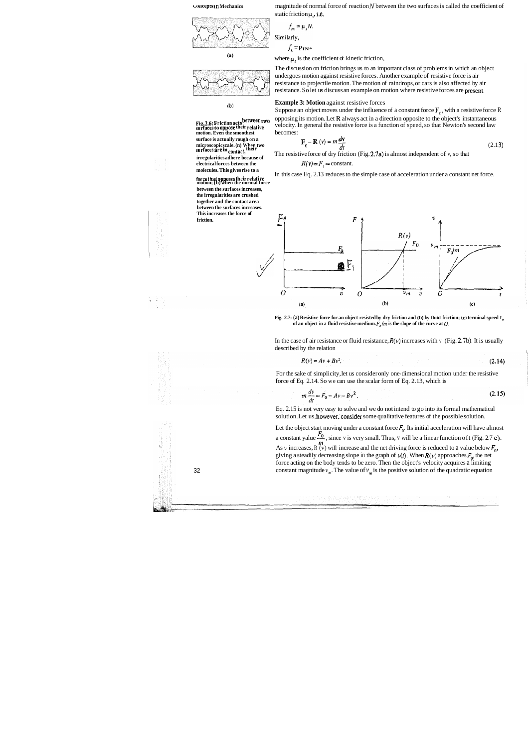The discussion on friction brings us to an important class of problems in which an object undergoes motion against resistive forces. Another example of resistive force is air resistance to projectile motion. The motion of raindrops, or cars is also affected by air resistance. So let us discuss an example on motion where resistive forces are present.

## **(b) Example 3:** Motion against resistive forces

Suppose an object moves under the influence of a constant force  $F_0$ , with a resistive force R **Fig. 2.6: Friction acts between two** opposing its motion. Let **R** always act in a direction opposite to the object's instantaneous velocity. In general the resistive force is a function of speed, so that Newton's second l velocity. In general the resistive force is a function of speed, so that Newton's second law

$$
\mathbf{F}_0 - \mathbf{R}(v) = m \frac{dv}{dt}
$$
 (2.13)

**Exhibited are in the contact,**<br> **Surface in the resistive force of dry friction (Fig. 2.7a) is almost independent of v, so that electrical forces between the**  $R(v) = F_1$  **= constant.** 

In this case Eq. 2.13 reduces to the simple case of acceleration under a constant net force.





motion. Even the smoothest becomes:<br>surface is actually rough on a microscopicscale. (n) When two surfaces are in contact, their **electrical forces between the** *R(v)* = *F,* = constant. **molecules. This gives rise to a** 

> In the case of air resistance or fluid resistance,  $R(v)$  increases with v (Fig. 2.7b). It is usually described by the relation \

$$
R(v) = Av + Bv^2. \tag{2.14}
$$

Eq. 2.15 is not very easy to solve and we do not intend to go into its formal mathematical solution. Let us, however, consider some qualitative features of the possible solution.

Let the object start moving under a constant force  $F_0$ . Its initial acceleration will have almost a constant yalue  $\frac{F_0}{m}$ , since v is very small. Thus, v will be a linear function oft (Fig. 2.7 c).<br>As v increases, R (v) will increase and the net driving force is reduced to a value below  $F_0$ , giving a steadily decreasing slope in the graph of  $v(t)$ . When  $R(v)$  approaches  $F_0$ , the net force acting on the body tends to be zero. Then the object's velocity acquires a limiting 32 constant magnitude  $v_m$ . The value of  $v_m$  is the positive solution of the quadratic equation

(事業の)投資の(機能のある)



**motion; (b) when the normal force** 

**between the surfaces increases, the irregularities are crushed together and the contact area between the surfaces increases. This increases the force of** 

**•** *uncepts If Mechanics* **magnitude of normal force of reaction** *N* **between the two surfaces is called the coefficient of** static friction  $\mu$ , i.e.

$$
f_{\scriptscriptstyle sm} = \mu_{\scriptscriptstyle s} N.
$$

 $f_k = PIN*$ 

Similarly,

(a) **where**  $\mu_k$  **is the coefficient of kinetic friction,** 



**Pig. 2.7: (a) Resistive force for an object resisted by dry friction and (b) by fluid friction; (c) terminal speed**  $V_m$ **of an object in a fluid resistive medium.**  $F_n/m$  is the slope of the curve at  $O$ .

For the sake of simplicity, let us consider only one-dimensional motion under the resistive force of Eq. 2.14. So we can use the scalar form of Eq. 2.13, which is

$$
m\frac{dv}{dt} = F_0 - Av - Bv^2.
$$
\n(2.15)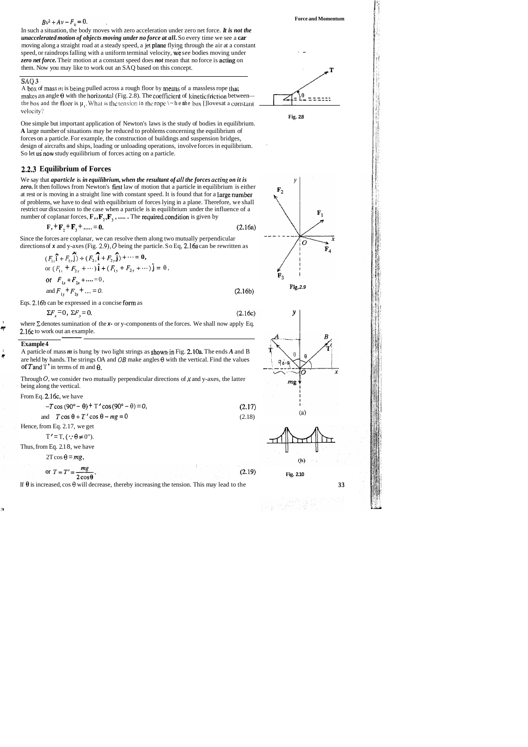## $Bv^2 + Av - F_0 = 0.$

In such a situation, the body moves with zero acceleration under zero net force. *It is not the unaccelerated motion of objects moving under no force at all.* So every time we see a **car**  moving along a straight road at a steady speed, a jet plarie flying through the air at a constant speed, or raindrops falling with a uniform terminal velocity, we see bodies moving under *zero net force.* Their motion at a constant speed does *not* mean that no force is acting on them. Now you may like to work out an SAQ based on this concept. moving along a straight road at a steady speed, a jet plane flying through the air at a constant<br>speed, or raindrops falling with a uniform terminal velocity, we see bodies moving under<br>tero net force. Their motion at a c

One simple but important application of Newton's laws is the study of bodies in equilibrium. **A** large number of situations may be reduced to problems concerning the equilibrium of forces on a particle. For example, the construction of buildings and suspension bridges, design of aircrafts and ships, loading or unloading operations, involve forces in equilibrium. So let us now study equilibrium of forces acting on a particle.

## SAQ **3.**

A box of mass *m* is being pulled across a rough floor by means of a massless rope that the box and the **floor** is  $\mu_i$ . What is the tension in the rope  $\backslash \sim$  hen the box []loves at a constant velocity?

We say that *aparticle* is *in equilibrium, when the resultant of ull the forces acting on it is zero.* It then follows from Newton's firs1 law of motion that a particle in equilibrium is either at rest or is moving in a straight line with constant speed. It is found that for a large number of problems, we have to deal with equilibrium of forces lying in a plane. Therefore, we shall restrict our discussion to the case when a particle is in equilibrium under the influence of a number of coplanar forces,  $\mathbf{F}_1$ ,  $\mathbf{F}_2$ ,  $\mathbf{F}_3$ , ...... The required condition is given by

**Fig. 2.8** 

Since the forces are coplanar, we can resolve them along two mutually perpendicular directions of  $x$  and  $y$ -axes (Fig. 2.9),  $O$  being the particle. So Eq. 2.16a can be rewritten as

<sup>I</sup>A particle of mass *m* is hung by two light strings as showmin Fig. 2.10a. The ends *A* and B are held by hands. The strings OA and **OB** make angles **0** with the vertical. Find the values of T and T' in terms of m and  $\theta$ .

## **2.2.3 Equilibrium of Forces**

$$
F_{1} + F_{2} + F_{3} + \dots = 0. \tag{2.16a}
$$

$$
(F_{1x}\hat{\mathbf{i}} + F_{1y}\hat{\mathbf{j}}) + (F_{2x}\hat{\mathbf{i}} + F_{2y}\hat{\mathbf{j}}) + \cdots = \mathbf{0},
$$
  
or  $(F_{1x} + F_{2x} + \cdots)\hat{\mathbf{i}} + (F_{1y} + F_{2y} + \cdots)\hat{\mathbf{j}} = 0,$   
or  $F_{1x} + F_{2x} + \cdots = 0,$   
and  $F_{1y} + F_{2y} + \cdots = 0.$  (2.16b)

Eqs. 2.16b can be expressed in a concise form as

$$
\Sigma F_x = 0, \ \Sigma F_y = 0. \tag{2.16c}
$$

where  $\Sigma$  denotes sumination of the **x-** or y-components of the forces. We shall now apply Eq.<br>2.160 to work out an axample. **4 2.16c** to work out an example. be expressed<br>=0,  $\Sigma F_y = C$ <br>sumination<br>at an example

#### **Example 4**

Through 0, we consider two mutually perpendicular directions of **x** and y-axes, the latter being along the vertical.

From Eq. 2.16c, we have

| <u>.</u> |                                                               |        |  |  |  |
|----------|---------------------------------------------------------------|--------|--|--|--|
|          | $-T\cos(90^\circ - \theta) + T'\cos(90^\circ - \theta) = 0$ , | (2.17) |  |  |  |
|          | and $T\cos\theta + T' \cos\theta - mg = 0$                    | (2.18) |  |  |  |

Hence, from Eq. 2.17, we get

$$
T' = T, (\because \theta \neq 0").
$$

Thus, from Eq. 2.1 8, we have

$$
2T\cos\theta = mg,
$$

or 
$$
T = T' = \frac{mg}{2\cos\theta}
$$
.

If **8** is increased, cos **0** will decrease, thereby increasing the tension. This may lead to the

**3** 







 $(2.19)$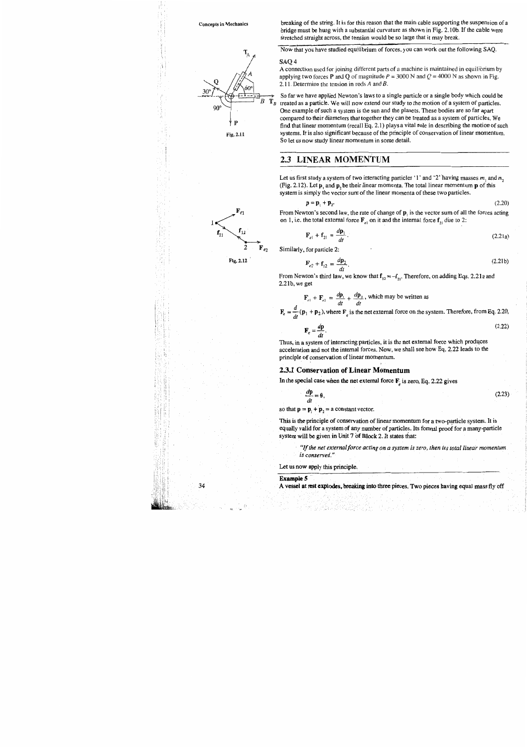#### **Concepts in Mechanics**

90

₽

Fig. 2.11

 $\mathbf{T}_{\mathrm{A}}$ 

breaking of the string. It is for this reason that the main cable supporting the suspension of a bridge must be hung with a substantial curvature as shown in Fig. 2.10b. If the cable were stretched straight across, the tension would be so large that it may break.

Now that you have studied equilibrium of forces, you can work out the following SAQ.

#### SAQ4

 $\mathbb{T}_B$ B

A connection used for joining different parts of a machine is maintained in equilibrium by applying two forces P and Q of magnitude  $P = 3000$  N and  $Q = 4000$  N as shown in Fig. 2.11. Determine the tension in rods  $A$  and  $B$ .

So far we have applied Newton's laws to a single particle or a single body which could be treated as a particle. We will now extend our study to the motion of a system of particles. One example of such a system is the sun and the planets. These bodies are so far apart compared to their diameters that together they can be treated as a system of particles. We find that linear momentum (recall Eq. 2.1) plays a vital role in describing the motion of such systems. It is also significant because of the principle of conservation of linear momentum. So let us now study linear momentum in some detail.

## 2.3 LINEAR MOMENTUM

Let us first study a system of two interacting particles '1' and '2' having masses  $m_1$  and  $m_2$ (Fig. 2.12). Let  $p_1$  and  $p_2$  be their linear momenta. The total linear momentum  $p_1$  of this system is simply the vector sum of the linear momenta of these two particles.

 $\mathbf{p} = \mathbf{p}_1 + \mathbf{p}_2.$  $(2.20)$ 

From Newton's second law, the rate of change of  $\mathbf{p}_1$  is the vector sum of all the forces acting on 1, i.e. the total external force  $\mathbf{F}_{e1}$  on it and the internal force  $\mathbf{f}_{21}$  due to 2:

$$
\mathbf{F}_{e1} + \mathbf{f}_{21} = \frac{d\mathbf{p}_1}{dt}.
$$
 (2.21a)

Similarly, for particle 2:

 $\mathbf{F}_e =$ 

$$
\mathbf{F}_{e2} + \mathbf{f}_{12} = \frac{d\mathbf{p}_2}{dt}.
$$
 (2.21b)

From Newton's third law, we know that  $f_{12} = -f_{21}$ . Therefore, on adding Eqs. 2.21a and  $2.21<sub>b</sub>$ , we get

$$
\mathbf{F}_{e1} + \mathbf{F}_{e2} = \frac{d\mathbf{p}_1}{dt} + \frac{d\mathbf{p}_2}{dt}
$$
, which may be written as  

$$
\frac{d}{dt}(\mathbf{p}_1 + \mathbf{p}_2)
$$
, where  $\mathbf{F}_e$  is the net external force on the system. Therefore, from Eq. 2.20,

 $(2.22)$  $\frac{d\mathbf{p}}{d\mathbf{p}}$  $\mathbf{F}_e =$  $dt$ 

Thus, in a system of interacting particles, it is the net external force which produces acceleration and not the internal forces. Now, we shall see how Eq. 2.22 leads to the principle of conservation of linear momentum.

#### 2.3.1 Conservation of Linear Momentum

In the special case when the net external force  $\mathbf{F}_i$  is zero, Eq. 2.22 gives

$$
\frac{d\mathbf{p}}{dt} = \mathbf{0},\tag{2.23}
$$

so that  $\mathbf{p} = \mathbf{p}_1 + \mathbf{p}_2 = \mathbf{a}$  constant vector.

This is the principle of conservation of linear momentum for a two-particle system. It is equally valid for a system of any number of particles. Its formal proof for a many-particle system will be given in Unit 7 of Block 2. It states that:

"If the net external force acting on a system is zero, then its total linear momentum is conserved."

Let us now apply this principle.

#### **Example 5**

A vessel at rest explodes, breaking into three pieces. Two pieces having equal mass fly off

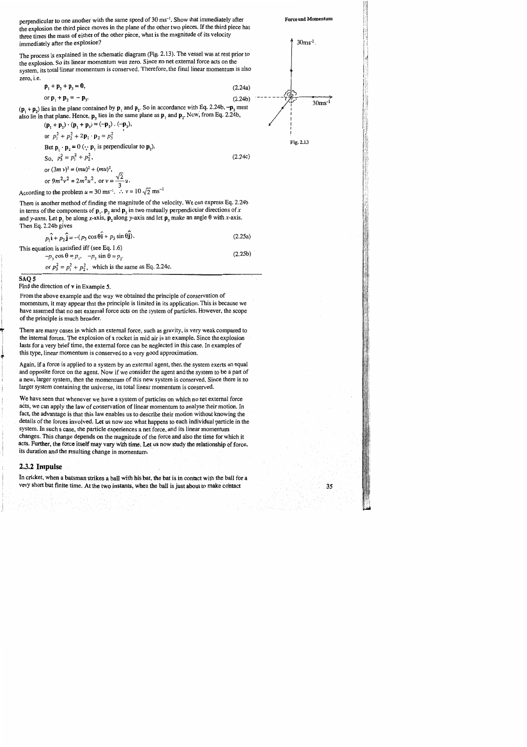perpendicular to one another with the same speed of 30 ms<sup>-1</sup>. Show that immediately after the explosion the third piece moves in the plane of the other two pieces. If the third piece has three times the mass of either of the other piece, what is the magnitude of its velocity immediately after the explosion?

The process is explained in the schematic diagram (Fig. 2.13). The vessel was at rest prior to the explosion. So its linear momentum was zero. Since no net external force acts on the system, its total linear momentum is conserved. Therefore, the final linear momentum is also zero, i.e.

$$
\mathbf{p}_1 + \mathbf{p}_2 + \mathbf{p}_3 = \mathbf{0},
$$
  
or 
$$
\mathbf{p}_1 + \mathbf{p}_2 = -\mathbf{p}_3.
$$

 $(\mathbf{p}_1 + \mathbf{p}_2)$  lies in the plane contained by  $\mathbf{p}_1$  and  $\mathbf{p}_2$ . So in accordance with Eq. 2.24b,  $-\mathbf{p}_3$  must also lie in that plane. Hence,  $\mathbf{p}_3$  lies in the same plane as  $\mathbf{p}_1$  and  $\mathbf{p}_2$ . Now, from Eq. 2.24b,

 $(\mathbf{p}_1 + \mathbf{p}_2) \cdot (\mathbf{p}_1 + \mathbf{p}_2) = (-\mathbf{p}_3) \cdot (-\mathbf{p}_3),$ or  $p_1^2 + p_2^2 + 2p_1 \cdot p_2 = p_3^2$ But  $\mathbf{p}_1 \cdot \mathbf{p}_2 = 0$  ( $\cdot \cdot \mathbf{p}_1$  is perpendicular to  $\mathbf{p}_2$ ). So,  $p_3^2 = p_1^2 + p_2^2$ , or  $(3m v)^2 = (mu)^2 + (mu)^2$ , or  $9m^2v^2 = 2m^2u^2$ , or  $v = \frac{\sqrt{2}}{3}u$ .<br>According to the problem  $u = 30 \text{ ms}^{-1}$ .  $\therefore v = 10\sqrt{2} \text{ ms}^{-1}$ 

There is another method of finding the magnitude of the velocity. We can express Eq. 2.24b in terms of the components of  $\mathbf{p}_1$ ,  $\mathbf{p}_2$ , and  $\mathbf{p}_3$  in two mutually perpendicular directions of x and y-axes. Let  $p_1$ , be along x-axis,  $p_2$ , along y-axis and let  $p_3$  make an angle  $\theta$  with x-axis. Then Eq. 2.24b gives

|  |                   | $p_1\hat{\mathbf{i}} + p_2\hat{\mathbf{j}} = -(p_3 \cos \theta \hat{\mathbf{i}} + p_3 \sin \theta \hat{\mathbf{j}}).$ | (2.25a) |
|--|-------------------|-----------------------------------------------------------------------------------------------------------------------|---------|
|  | $\cdots$ $\cdots$ |                                                                                                                       |         |

This equation is satisfied iff (see Eq. 1.6)  $m \cos \theta - n = n \sin \theta - n$ 

$$
-p_3 \cos \theta - p_1
$$
,  $-p_3 \sin \theta - p_2$ .  
or  $p_3^2 = p_1^2 + p_2^2$ , which is the same as Eq. 2.24c.

#### SAQ 5

Find the direction of  $\nu$  in Example 5.

From the above example and the way we obtained the principle of conservation of momentum, it may appear that the principle is limited in its application. This is because we have assumed that no net external force acts on the system of particles. However, the scope of the principle is much broader.

There are many cases in which an external force, such as gravity, is very weak compared to the internal forces. The explosion of a rocket in mid air is an example. Since the explosion lasts for a very brief time, the external force can be neglected in this case. In examples of this type, linear momentum is conserved to a very good approximation.

Again, if a force is applied to a system by an external agent, then the system exerts an equal and opposite force on the agent. Now if we consider the agent and the system to be a part of a new, larger system, then the momentum of this new system is conserved. Since there is no larger system containing the universe, its total linear momentum is conserved.

We have seen that whenever we have a system of particles on which no net external force acts, we can apply the law of conservation of linear momentum to analyse their motion. In fact, the advantage is that this law enables us to describe their motion without knowing the details of the forces involved. Let us now see what happens to each individual particle in the system. In such a case, the particle experiences a net force, and its linear momentum changes. This change depends on the magnitude of the force and also the time for which it acts. Further, the force itself may vary with time. Let us now study the relationship of force, its duration and the resulting change in momentum.

### 2.3.2 Impulse

In cricket, when a batsman strikes a ball with his bat, the bat is in contact with the ball for a very short but finite time. At the two instants, when the ball is just about to make contact



 $(2.24a)$  $(2.24b)$ 

 $(2.24c)$ 

 $(2.25b)$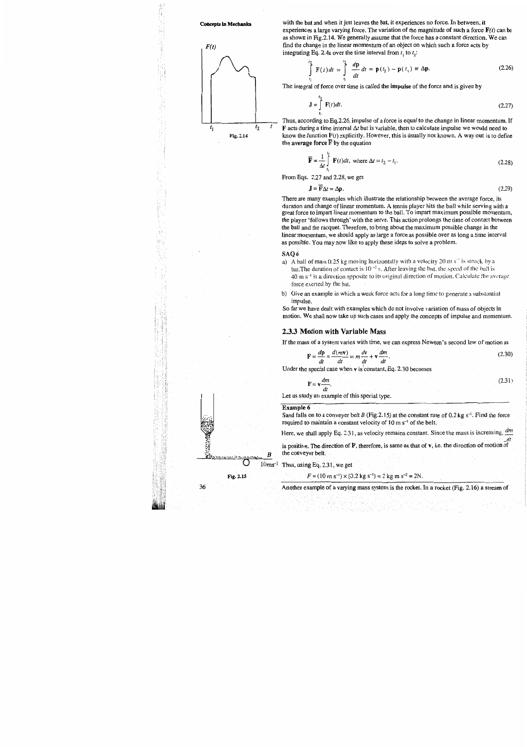#### **Concepts in Mechanics**



with the bat and when it just leaves the bat, it experiences no force. In between, it experiences a large varying force. The variation of the magnitude of such a force  $F(t)$  can be as shown in Fig.2.14. We generally assume that the force has a constant direction. We can find the change in the linear momentum of an object on which such a force acts by integrating Eq. 2.4a over the time interval from  $t_1$  to  $t_2$ :

$$
\int_{t_1}^{t_2} \mathbf{F}(t) dt = \int_{t_1}^{t_2} \frac{d\mathbf{p}}{dt} dt = \mathbf{p}(t_2) - \mathbf{p}(t_1) \equiv \Delta \mathbf{p}.
$$
 (2.26)

The integral of force over time is called the impulse of the force and is given by

$$
\mathbf{J} = \int_{t_1}^{t_2} \mathbf{F}(t)dt.
$$
 (2.27)

Thus, according to Eq.2.26, impulse of a force is equal to the change in linear momentum. If  $\bf{F}$  acts during a time interval  $\Delta t$  but is variable, then to calculate impulse we would need to know the function  $F(t)$  explicitly. However, this is usually not known. A way out is to define the average force  $\overline{F}$  by the equation

$$
\overline{\mathbf{F}} = \frac{1}{\Delta t} \int_{t}^{t_2} \mathbf{F}(t) dt, \text{ where } \Delta t = t_2 - t_1.
$$
 (2.28)

From Eqs. 2.27 and 2.28, we get

$$
\mathbf{J} = \overline{\mathbf{F}} \Delta t = \Delta \mathbf{p}.
$$
 (2.29)

There are many examples which illustrate the relationship between the average force, its duration and change of linear momentum. A tennis player hits the ball while serving with a great force to impart linear momentum to the ball. To impart maximum possible momentum, the player 'follows through' with the serve. This action prolongs the time of contact between the ball and the racquet. Therefore, to bring about the maximum possible change in the linear momentum, we should apply as large a force as possible over as long a time interval as possible. You may now like to apply these ideas to solve a problem.

#### SAQ6

- a) A ball of mass 0.25 kg moving horizontally with a velocity 20 m  $s^{-1}$  is struck by a bat. The duration of contact is  $10^{-2}$  s. After leaving the bat, the speed of the ball is 40 m s<sup>-1</sup> in a direction opposite to its original direction of motion. Calculate the average force exerted by the bat.
- b) Give an example in which a weak force acts for a long time to generate a substantial impulse.

So far we have dealt with examples which do not involve variation of mass of objects in motion. We shall now take up such cases and apply the concepts of impulse and momentum.

#### 2.3.3 Motion with Variable Mass

If the mass of a system varies with time, we can express Newton's second law of motion as

$$
\mathbf{F} = \frac{d\mathbf{p}}{dt} = \frac{d(m\mathbf{v})}{dt} = m\frac{d\mathbf{v}}{dt} + \mathbf{v}\frac{dm}{dt}.
$$
 (2.30)

Under the special case when v is constant, Eq. 2.30 becomes

$$
\mathbf{F} = \mathbf{v} \frac{dm}{dt}.
$$
 (2.31)

Let us study an example of this special type.

#### Example 6

Sand falls on to a conveyer belt B (Fig.2.15) at the constant rate of  $0.2 \text{ kg s}^{-1}$ . Find the force required to maintain a constant velocity of  $10 \text{ m s}^{-1}$  of the belt.

Here, we shall apply Eq. 2.31, as velocity remains constant. Since the mass is increasing,  $dm$ 

is positive. The direction of F, therefore, is same as that of v, i.e. the direction of motion of the conveyer belt.

10ms<sup>-1</sup> Thus, using Eq. 2.31, we get

 $F = (10 \text{ m s}^{-1}) \times (0.2 \text{ kg s}^{-1}) = 2 \text{ kg m s}^{-2} = 2N.$ 

Another example of a varying mass system is the rocket. In a rocket (Fig. 2.16) a stream of

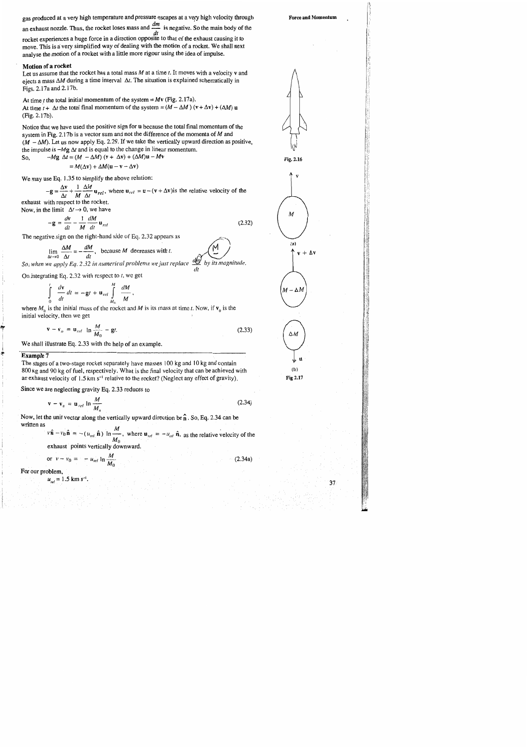gas produced at a very high temperature and pressure escapes at a very high velocity through

an exhaust nozzle. Thus, the rocket loses mass and  $\frac{dm}{m}$  is negative. So the main body of the

 $\frac{dt}{dt}$  rocket experiences a huge force in a direction opposite to that of the exhaust causing it to move. This is a very simplified way of dealing with the motion of a rocket. We shall next analyse the motion of a rocket with a little more rigour using the idea of impulse.

#### Motion of a rocket

Let us assume that the rocket has a total mass  $M$  at a time  $t$ . It moves with a velocity  $v$  and ejects a mass  $\Delta M$  during a time interval  $\Delta t$ . The situation is explained schematically in Figs. 2.17a and 2.17b.

At time *t* the total initial momentum of the system =  $Mv$  (Fig. 2.17a). At time  $t + \Delta t$  the total final momentum of the system =  $(M - \Delta M)(v + \Delta v) + (\Delta M) u$ (Fig. 2.17b).

Notice that we have used the positive sign for u because the total final momentum of the system in Fig. 2.17b is a vector sum and not the difference of the momenta of  $M$  and  $(M - \Delta M)$ . Let us now apply Eq. 2.29. If we take the vertically upward direction as positive, the impulse is  $-Mg \Delta t$  and is equal to the change in linear momentum.  $Mv$ 

So, 
$$
-Mg \Delta t = (M - \Delta M) (v + \Delta v) + (\Delta M) u -
$$

 $= M(\Delta v) + \Delta M(u - v - \Delta v)$ 

We may use Eq. 1.35 to simplify the above relation:

 $-g = \frac{\Delta v}{\Delta t} + \frac{1}{M} \frac{\Delta M}{\Delta t} u_{rel}$ , where  $u_{rel} = u - (v + \Delta v)$  is the relative velocity of the

exhaust with respect to the rocket. Now, in the limit  $\Delta t \rightarrow 0$ , we have

 $-\mathbf{g}=\frac{d\mathbf{v}}{dt}-\frac{1}{M}\frac{dM}{dt}\mathbf{u}_{rel}$  $(2.32)$ 

 $dt$ 

The negative sign on the right-hand side of Eq. 2.32 appears as

$$
\lim_{\Delta t \to 0} \frac{\Delta M}{\Delta t} = -\frac{dM}{dt}
$$
, because M decreases with t.  
So, when we apply Eq. 2.32 in numerical problems we just replace  $\frac{dM}{dx}$  by its magnitude

On integrating Eq. 2.32 with respect to  $t$ , we get

$$
\int_{0}^{t} \frac{d\mathbf{v}}{dt} dt = -\mathbf{g}t + \mathbf{u}_{rel} \int_{M_{0}}^{M} \frac{dM}{M}
$$

where  $M_0$  is the initial mass of the rocket and M is its mass at time t. Now, if  $v_0$  is the initial velocity, then we get

$$
\mathbf{v} - \mathbf{v}_o = \mathbf{u}_{rel} \ln \frac{M}{M_0} - \mathbf{g}t. \tag{2.33}
$$

We shall illustrate Eq. 2.33 with the help of an example.

#### **Example 7**

The stages of a two-stage rocket separately have masses 100 kg and 10 kg and contain 800 kg and 90 kg of fuel, respectively. What is the final velocity that can be achieved with an exhaust velocity of 1.5 km s<sup>-1</sup> relative to the rocket? (Neglect any effect of gravity).

Since we are neglecting gravity Eq. 2.33 reduces to

$$
\mathbf{v} - \mathbf{v}_a = \mathbf{u}_{rel} \ln \frac{M}{M_a}
$$
 (2.34)

Now, let the unit vector along the vertically upward direction be  $\hat{\bf n}$ . So, Eq. 2.34 can be written as  $\boldsymbol{M}$ 

$$
v\hat{\mathbf{n}} - v_0 \hat{\mathbf{n}} = -(u_{rel} \hat{\mathbf{n}}) \ln \frac{m}{M_0}
$$
, where  $\mathbf{u}_{rel} = -u_{rel} \hat{\mathbf{n}}$ , as the relative velocity of the

exhaust points vertically downward.

or 
$$
v - v_0 = -u_{rel} \ln \frac{M}{M_0}
$$
 (2.34a)

For our problem,  $u_{rel} = 1.5$  km s<sup>-1</sup>.

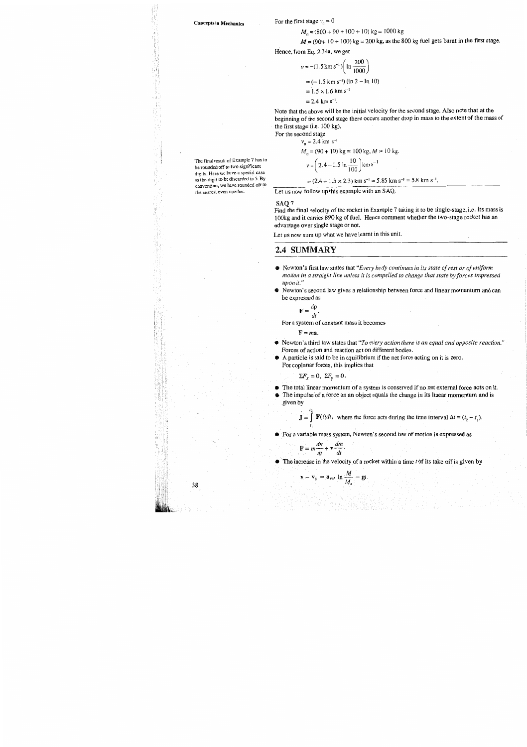#### **Concepts in Mechanics**

The final result of Example 7 has to be rounded off to two significant digits. Here we have a special case as the digit to be discarded is 5. By

convention, we have rounded off to

the nearest even number.

38

For the first stage  $v_n = 0$ 

 $M_0$  = (800 + 90 + 100 + 10) kg = 1000 kg

 $M = (90 + 10 + 100)$  kg = 200 kg, as the 800 kg fuel gets burnt in the first stage.

Hence, from Eq. 2.34a, we get

$$
v = -(1.5 \text{ km s}^{-1}) \left( \ln \frac{200}{1000} \right)
$$
  
= (-1.5 km s<sup>-1</sup>) (ln 2 - ln 10)  
= 1.5 × 1.6 km s<sup>-1</sup>  
= 2.4 km s<sup>-1</sup>.

Note that the above will be the initial velocity for the second stage. Also note that at the beginning of the second stage there occurs another drop in mass to the extent of the mass of the first stage (i.e. 100 kg).

For the second stage

$$
v_0 = 2.4 \text{ km s}^{-1}
$$
  
\n $M_0 = (90 + 10) \text{ kg} = 100 \text{ kg}, M = 10 \text{ kg}.$   
\n $v = \left(2.4 - 1.5 \text{ ln} \frac{10}{100}\right) \text{ km s}^{-1}$   
\n $= (2.4 + 1.5 \times 2.3) \text{ km s}^{-1} = 5.85 \text{ km s}^{-1} = 5.8 \text{ km s}^{-1}.$ 

Let us now follow up this example with an SAQ.

#### SAQ<sub>7</sub>

Find the final velocity of the rocket in Example 7 taking it to be single-stage, i.e. its mass is 100kg and it carries 890 kg of fuel. Hence comment whether the two-stage rocket has an advantage over single stage or not.

Let us now sum up what we have learnt in this unit.

## 2.4 SUMMARY

- Newton's first law states that "Every body continues in its state of rest or of uniform motion in a straight line unless it is compelled to change that state by forces impressed upon it."
- Newton's second law gives a relationship between force and linear momentum and can be expressed as

$$
\mathbf{F} = \frac{d\mathbf{p}}{dt}.
$$

For a system of constant mass it becomes

 $F = ma$ .

- Newton's third law states that "To every action there is an equal and opposite reaction." Forces of action and reaction act on different bodies.
- A particle is said to be in equilibrium if the net force acting on it is zero. For coplanar forces, this implies that

 $\Sigma F_x = 0$ ,  $\Sigma F_y = 0$ .

- The total linear momentum of a system is conserved if no net external force acts on it.
- The impulse of a force on an object equals the change in its linear momentum and is given by

 $\mathbf{J} = \int \mathbf{F}(t)dt$ , where the force acts during the time interval  $\Delta t = (t_2 - t_1)$ .

• For a variable mass system, Newton's second law of motion is expressed as

 $\mathbf{F} = m \frac{d\mathbf{v}}{dt} + \mathbf{v} \frac{dm}{dt}.$ 

 $\mathbf{v} - \mathbf{v}_0 = \mathbf{u}_{rel} \ln \frac{M}{M_0} - \mathbf{g}t.$ 

 $\bullet$  The increase in the velocity of a rocket within a time t of its take off is given by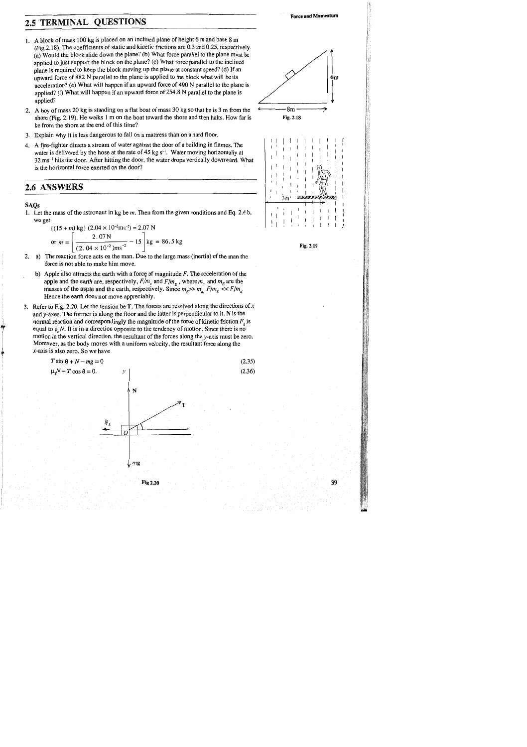## 2.5 TERMINAL QUESTIONS

- 1. A block of mass 100 kg is placed on an inclined plane of height 6 m and base 8 m (Fig. 2.18). The coefficients of static and kinetic frictions are 0.3 and 0.25, respectively. (a) Would the block slide down the plane? (b) What force parallel to the plane must be applied to just support the block on the plane? (c) What force parallel to the inclined plane is required to keep the block moving up the plane at constant speed? (d) If an upward force of 882 N parallel to the plane is applied to the block what will be its acceleration? (e) What will happen if an upward force of 490 N parallel to the plane is applied? (f) What will happen if an upward force of 254.8 N parallel to the plane is applied?
- 2. A boy of mass 20 kg is standing on a flat boat of mass 30 kg so that he is 3 m from the shore (Fig. 2.19). He walks 1 m on the boat toward the shore and then halts. How far is he from the shore at the end of this time?
- 3. Explain why it is less dangerous to fall on a mattress than on a hard floor.
- 4. A fire-fighter directs a stream of water against the door of a building in flames. The water is delivered by the hose at the rate of 45 kg s<sup>-1</sup>. Water moving horizontally at 32 ms<sup>-1</sup> hits the door. After hitting the door, the water drops vertically downward. What is the horizontal force exerted on the door?

## 2.6 ANSWERS

#### **SAQs**

1. Let the mass of the astronaut in kg be  $m$ . Then from the given conditions and Eq. 2.4 b, we get

$$
\{(15+m)\text{ kg}\} (2.04 \times 10^{-2}\text{m}\text{s}^{-2}) = 2.07 \text{ N}
$$
  
or  $m = \left[\frac{2.07 \text{ N}}{(2.04 \times 10^{-2})\text{m}\text{s}^{-2}} - 15\right] \text{ kg} = 86.5 \text{ kg}$ 

- 2. a) The reaction force acts on the man. Due to the large mass (inertia) of the man the force is not able to make him move.
	- b) Apple also attracts the earth with a force of magnitude  $F$ . The acceleration of the apple and the earth are, respectively,  $F/m_a$  and  $F/m_E$ , where  $m_a$  and  $m_E$  are the masses of the apple and the earth, respectively. Since  $m_{\kappa} >> m_a$   $F/m_{\kappa} \ll F/m_a$ . Hence the earth does not move appreciably.
- 3. Refer to Fig. 2.20. Let the tension be T. The forces are resolved along the directions of  $x$ and  $y$ -axes. The former is along the floor and the latter is perpendicular to it. N is the normal reaction and correspondingly the magnitude of the force of kinetic friction  $F_k$  is equal to  $\mu_k N$ . It is in a direction opposite to the tendency of motion. Since there is no motion in the vertical direction, the resultant of the forces along the y-axis must be zero. Moreover, as the body moves with a uniform velocity, the resultant force along the  $x$ -axis is also zero. So we have

$$
T \sin \theta + N - mg = 0
$$
\n
$$
\mu_r N - T \cos \theta = 0.
$$
\n(2.35)\n(2.36)







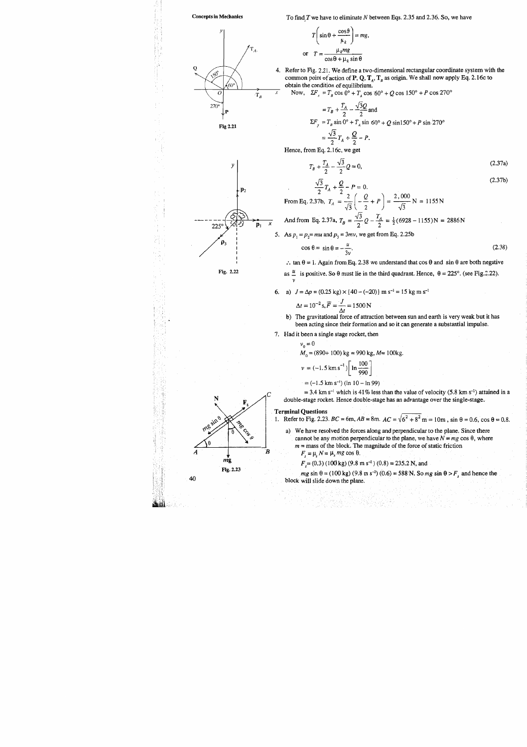

To find  $T$  we have to eliminate  $N$  between Eqs. 2.35 and 2.36. So, we have

$$
T\left(\sin\theta + \frac{\cos\theta}{\mu_k}\right) = mg,
$$
  

$$
T = \frac{\mu_k mg}{\cos\theta + \mu_k \sin\theta}
$$

4. Refer to Fig. 2.21. We define a two-dimensional rectangular coordinate system with the common point of action of P, Q,  $T_A$ ,  $T_B$  as origin. We shall now apply Eq. 2.16c to obtain the condition of equilibrium.

Now,  $\Sigma F_x = T_B \cos 0^\circ + T_A \cos 60^\circ + Q \cos 150^\circ + P \cos 270^\circ$ 

$$
= T_B + \frac{T_A}{2} - \frac{\sqrt{3}Q}{2} \text{ and}
$$
  
\n
$$
\Sigma F_y = T_B \sin 0^\circ + T_A \sin 60^\circ + Q \sin 150^\circ + P \sin \frac{1}{2}70^\circ
$$
  
\n
$$
= \frac{\sqrt{3}}{2} T_A + \frac{Q}{2} - P.
$$

Hence, from Eq. 2.16c, we get

or

$$
T_B + \frac{T_A}{2} - \frac{\sqrt{3}}{2}Q = 0,\tag{2.37a}
$$

$$
(2.37b)
$$

$$
\frac{\sqrt{3}}{2}T_A + \frac{Q}{2} - P = 0.
$$
  
From Eq. 2.37b,  $T_A = \frac{2}{\sqrt{3}} \left( -\frac{Q}{2} + P \right) = \frac{2,000}{\sqrt{3}} N = 1155 N$   
And from Eq. 2.37a,  $T_B = \frac{\sqrt{3}}{2} Q - \frac{T_A}{2} = \frac{1}{2} (6928 - 1155) N = 2886 N$ 

5. As  $p_1 = p_2 = mu$  and  $p_3 = 3mv$ , we get from Eq. 2.25b

$$
\cos \theta = \sin \theta = -\frac{u}{3v}.\tag{2.38}
$$

: tan  $\theta = 1$ . Again from Eq. 2.38 we understand that cos  $\theta$  and sin  $\theta$  are both negative

as  $\frac{u}{m}$  is positive. So  $\theta$  must lie in the third quadrant. Hence,  $\theta = 225^{\circ}$ . (see Fig. 2.22).

6. a)  $J = \Delta p = (0.25 \text{ kg}) \times (40 - (-20)) \text{ m s}^{-1} = 15 \text{ kg m s}^{-1}$ 

$$
\Delta t = 10^{-2} \text{ s}, \vec{F} = \frac{J}{\Delta t} = 1500 \text{ N}
$$

b) The gravitational force of attraction between sun and earth is very weak but it has been acting since their formation and so it can generate a substantial impulse.

7. Had it been a single stage rocket, then

$$
v_0 = 0
$$
  
\n $M_0 = (890 + 100) \text{ kg} = 990 \text{ kg}, M = 100 \text{ kg}.$   
\n $v = (-1.5 \text{ km s}^{-1}) \left[ \text{ln} \frac{100}{990} \right]$ 

 $= (-1.5 \text{ km s}^{-1}) (\ln 10 - \ln 99)$ 

= 3.4 km s<sup>-1</sup> which is 41% less than the value of velocity (5.8 km s<sup>-1</sup>) attained in a double-stage rocket. Hence double-stage has an advantage over the single-stage.

### **Terminal Questions**

 $\mathbf{v}$ 

Δ

- 1. Refer to Fig. 2.23.  $BC = 6m$ ,  $AB = 8m$ .  $AC = \sqrt{6^2 + 8^2} m = 10m$ ,  $\sin \theta = 0.6$ ,  $\cos \theta = 0.8$ .
	- a) We have resolved the forces along and perpendicular to the plane. Since there cannot be any motion perpendicular to the plane, we have  $N = mg \cos \theta$ , where  $m =$  mass of the block. The magnitude of the force of static friction  $F_s = \mu_s N = \mu_s mg \cos \theta.$

 $F_s = (0.3) (100 \text{ kg}) (9.8 \text{ m s}^{-2}) (0.8) = 235.2 \text{ N}$ , and

 $mg \sin \theta = (100 \text{ kg}) (9.8 \text{ m s}^{-2}) (0.6) = 588 \text{ N}$ . So  $mg \sin \theta > F<sub>s</sub>$  and hence the block will slide down the plane.

19 S.C